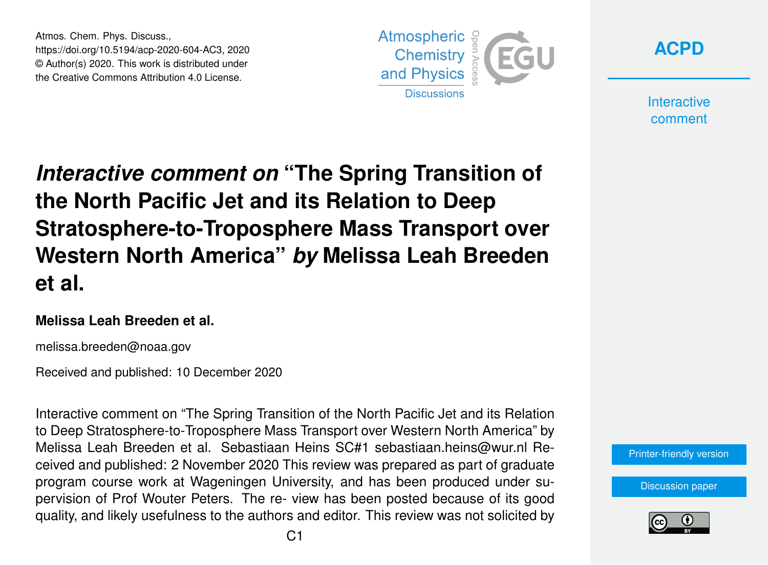Atmos. Chem. Phys. Discuss., https://doi.org/10.5194/acp-2020-604-AC3, 2020 © Author(s) 2020. This work is distributed under the Creative Commons Attribution 4.0 License.





**Interactive** comment

# *Interactive comment on* **"The Spring Transition of the North Pacific Jet and its Relation to Deep Stratosphere-to-Troposphere Mass Transport over Western North America"** *by* **Melissa Leah Breeden et al.**

#### **Melissa Leah Breeden et al.**

melissa.breeden@noaa.gov

Received and published: 10 December 2020

Interactive comment on "The Spring Transition of the North Pacific Jet and its Relation to Deep Stratosphere-to-Troposphere Mass Transport over Western North America" by Melissa Leah Breeden et al. Sebastiaan Heins SC#1 sebastiaan.heins@wur.nl Received and published: 2 November 2020 This review was prepared as part of graduate program course work at Wageningen University, and has been produced under supervision of Prof Wouter Peters. The re- view has been posted because of its good quality, and likely usefulness to the authors and editor. This review was not solicited by



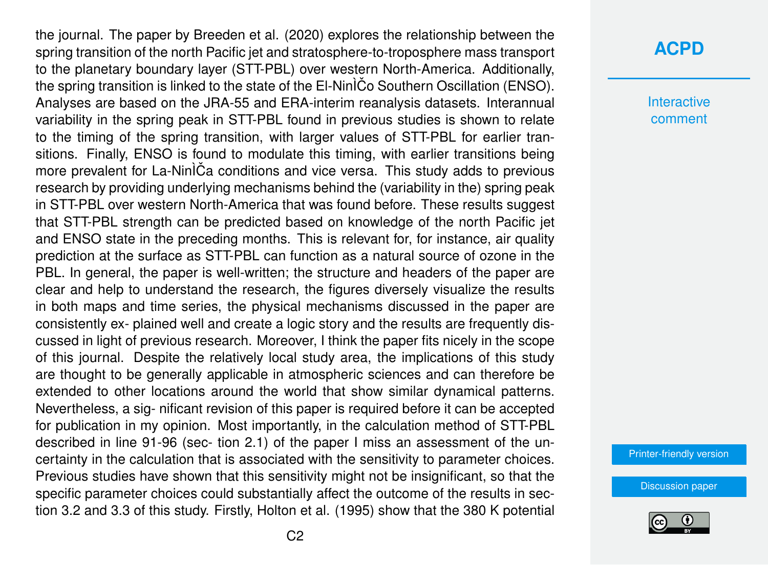the journal. The paper by Breeden et al. (2020) explores the relationship between the spring transition of the north Pacific jet and stratosphere-to-troposphere mass transport to the planetary boundary layer (STT-PBL) over western North-America. Additionally, the spring transition is linked to the state of the El-Nin $\tilde{C}$ o Southern Oscillation (ENSO). Analyses are based on the JRA-55 and ERA-interim reanalysis datasets. Interannual variability in the spring peak in STT-PBL found in previous studies is shown to relate to the timing of the spring transition, with larger values of STT-PBL for earlier transitions. Finally, ENSO is found to modulate this timing, with earlier transitions being more prevalent for La-Nin<sup>I</sup>Ca conditions and vice versa. This study adds to previous research by providing underlying mechanisms behind the (variability in the) spring peak in STT-PBL over western North-America that was found before. These results suggest that STT-PBL strength can be predicted based on knowledge of the north Pacific jet and ENSO state in the preceding months. This is relevant for, for instance, air quality prediction at the surface as STT-PBL can function as a natural source of ozone in the PBL. In general, the paper is well-written; the structure and headers of the paper are clear and help to understand the research, the figures diversely visualize the results in both maps and time series, the physical mechanisms discussed in the paper are consistently ex- plained well and create a logic story and the results are frequently discussed in light of previous research. Moreover, I think the paper fits nicely in the scope of this journal. Despite the relatively local study area, the implications of this study are thought to be generally applicable in atmospheric sciences and can therefore be extended to other locations around the world that show similar dynamical patterns. Nevertheless, a sig- nificant revision of this paper is required before it can be accepted for publication in my opinion. Most importantly, in the calculation method of STT-PBL described in line 91-96 (sec- tion 2.1) of the paper I miss an assessment of the uncertainty in the calculation that is associated with the sensitivity to parameter choices. Previous studies have shown that this sensitivity might not be insignificant, so that the specific parameter choices could substantially affect the outcome of the results in section 3.2 and 3.3 of this study. Firstly, Holton et al. (1995) show that the 380 K potential

#### **[ACPD](https://acp.copernicus.org/preprints/)**

**Interactive** comment

[Printer-friendly version](https://acp.copernicus.org/preprints/acp-2020-604/acp-2020-604-AC3-print.pdf)

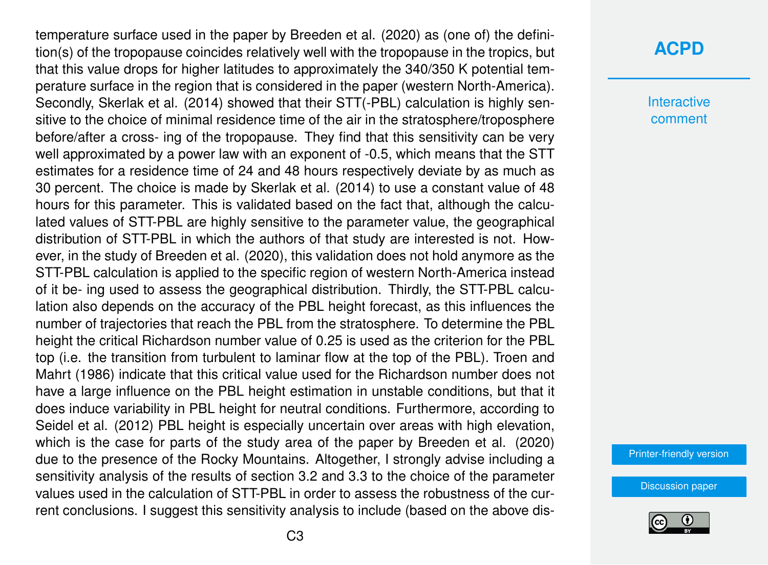temperature surface used in the paper by Breeden et al. (2020) as (one of) the definition(s) of the tropopause coincides relatively well with the tropopause in the tropics, but that this value drops for higher latitudes to approximately the 340/350 K potential temperature surface in the region that is considered in the paper (western North-America). Secondly, Skerlak et al. (2014) showed that their STT(-PBL) calculation is highly sensitive to the choice of minimal residence time of the air in the stratosphere/troposphere before/after a cross- ing of the tropopause. They find that this sensitivity can be very well approximated by a power law with an exponent of -0.5, which means that the STT estimates for a residence time of 24 and 48 hours respectively deviate by as much as 30 percent. The choice is made by Skerlak et al. (2014) to use a constant value of 48 hours for this parameter. This is validated based on the fact that, although the calculated values of STT-PBL are highly sensitive to the parameter value, the geographical distribution of STT-PBL in which the authors of that study are interested is not. However, in the study of Breeden et al. (2020), this validation does not hold anymore as the STT-PBL calculation is applied to the specific region of western North-America instead of it be- ing used to assess the geographical distribution. Thirdly, the STT-PBL calculation also depends on the accuracy of the PBL height forecast, as this influences the number of trajectories that reach the PBL from the stratosphere. To determine the PBL height the critical Richardson number value of 0.25 is used as the criterion for the PBL top (i.e. the transition from turbulent to laminar flow at the top of the PBL). Troen and Mahrt (1986) indicate that this critical value used for the Richardson number does not have a large influence on the PBL height estimation in unstable conditions, but that it does induce variability in PBL height for neutral conditions. Furthermore, according to Seidel et al. (2012) PBL height is especially uncertain over areas with high elevation, which is the case for parts of the study area of the paper by Breeden et al. (2020) due to the presence of the Rocky Mountains. Altogether, I strongly advise including a sensitivity analysis of the results of section 3.2 and 3.3 to the choice of the parameter values used in the calculation of STT-PBL in order to assess the robustness of the current conclusions. I suggest this sensitivity analysis to include (based on the above dis-

#### **[ACPD](https://acp.copernicus.org/preprints/)**

**Interactive** comment

[Printer-friendly version](https://acp.copernicus.org/preprints/acp-2020-604/acp-2020-604-AC3-print.pdf)

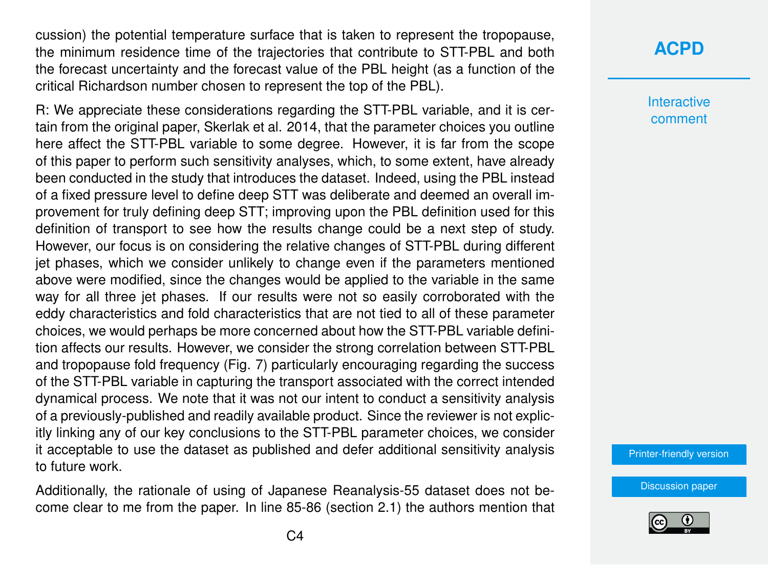cussion) the potential temperature surface that is taken to represent the tropopause, the minimum residence time of the trajectories that contribute to STT-PBL and both the forecast uncertainty and the forecast value of the PBL height (as a function of the critical Richardson number chosen to represent the top of the PBL).

R: We appreciate these considerations regarding the STT-PBL variable, and it is certain from the original paper, Skerlak et al. 2014, that the parameter choices you outline here affect the STT-PBL variable to some degree. However, it is far from the scope of this paper to perform such sensitivity analyses, which, to some extent, have already been conducted in the study that introduces the dataset. Indeed, using the PBL instead of a fixed pressure level to define deep STT was deliberate and deemed an overall improvement for truly defining deep STT; improving upon the PBL definition used for this definition of transport to see how the results change could be a next step of study. However, our focus is on considering the relative changes of STT-PBL during different jet phases, which we consider unlikely to change even if the parameters mentioned above were modified, since the changes would be applied to the variable in the same way for all three jet phases. If our results were not so easily corroborated with the eddy characteristics and fold characteristics that are not tied to all of these parameter choices, we would perhaps be more concerned about how the STT-PBL variable definition affects our results. However, we consider the strong correlation between STT-PBL and tropopause fold frequency (Fig. 7) particularly encouraging regarding the success of the STT-PBL variable in capturing the transport associated with the correct intended dynamical process. We note that it was not our intent to conduct a sensitivity analysis of a previously-published and readily available product. Since the reviewer is not explicitly linking any of our key conclusions to the STT-PBL parameter choices, we consider it acceptable to use the dataset as published and defer additional sensitivity analysis to future work.

Additionally, the rationale of using of Japanese Reanalysis-55 dataset does not become clear to me from the paper. In line 85-86 (section 2.1) the authors mention that

## **[ACPD](https://acp.copernicus.org/preprints/)**

**Interactive** comment

[Printer-friendly version](https://acp.copernicus.org/preprints/acp-2020-604/acp-2020-604-AC3-print.pdf)

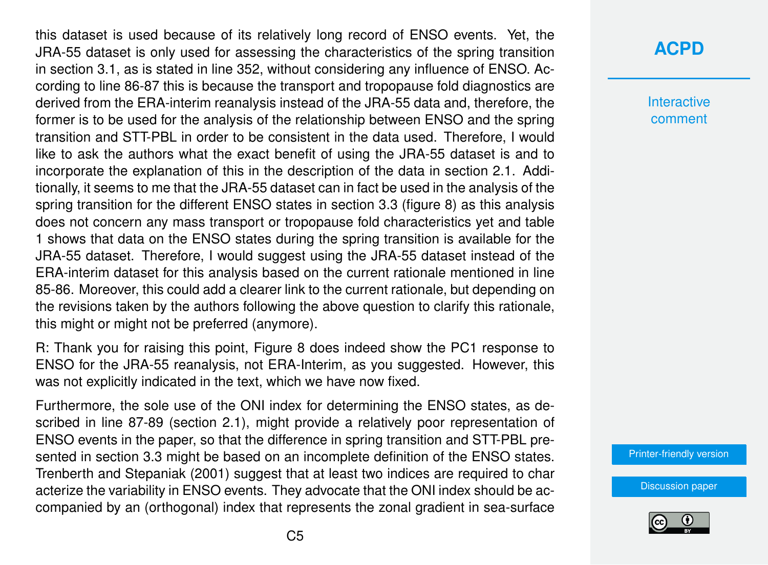this dataset is used because of its relatively long record of ENSO events. Yet, the JRA-55 dataset is only used for assessing the characteristics of the spring transition in section 3.1, as is stated in line 352, without considering any influence of ENSO. According to line 86-87 this is because the transport and tropopause fold diagnostics are derived from the ERA-interim reanalysis instead of the JRA-55 data and, therefore, the former is to be used for the analysis of the relationship between ENSO and the spring transition and STT-PBL in order to be consistent in the data used. Therefore, I would like to ask the authors what the exact benefit of using the JRA-55 dataset is and to incorporate the explanation of this in the description of the data in section 2.1. Additionally, it seems to me that the JRA-55 dataset can in fact be used in the analysis of the spring transition for the different ENSO states in section 3.3 (figure 8) as this analysis does not concern any mass transport or tropopause fold characteristics yet and table 1 shows that data on the ENSO states during the spring transition is available for the JRA-55 dataset. Therefore, I would suggest using the JRA-55 dataset instead of the ERA-interim dataset for this analysis based on the current rationale mentioned in line 85-86. Moreover, this could add a clearer link to the current rationale, but depending on the revisions taken by the authors following the above question to clarify this rationale, this might or might not be preferred (anymore).

R: Thank you for raising this point, Figure 8 does indeed show the PC1 response to ENSO for the JRA-55 reanalysis, not ERA-Interim, as you suggested. However, this was not explicitly indicated in the text, which we have now fixed.

Furthermore, the sole use of the ONI index for determining the ENSO states, as described in line 87-89 (section 2.1), might provide a relatively poor representation of ENSO events in the paper, so that the difference in spring transition and STT-PBL presented in section 3.3 might be based on an incomplete definition of the ENSO states. Trenberth and Stepaniak (2001) suggest that at least two indices are required to char acterize the variability in ENSO events. They advocate that the ONI index should be accompanied by an (orthogonal) index that represents the zonal gradient in sea-surface

# **[ACPD](https://acp.copernicus.org/preprints/)**

**Interactive** comment

[Printer-friendly version](https://acp.copernicus.org/preprints/acp-2020-604/acp-2020-604-AC3-print.pdf)

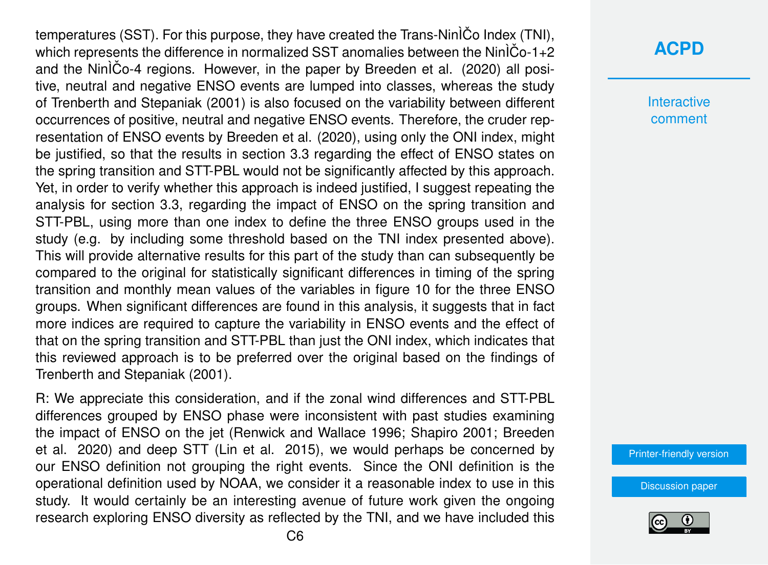temperatures (SST). For this purpose, they have created the Trans-Nin $\tilde{C}$ o Index (TNI), which represents the difference in normalized SST anomalies between the Nin $\rho$ <sup>1+2</sup> and the NinÌCo-4 regions. However, in the paper by Breeden et al. (2020) all positive, neutral and negative ENSO events are lumped into classes, whereas the study of Trenberth and Stepaniak (2001) is also focused on the variability between different occurrences of positive, neutral and negative ENSO events. Therefore, the cruder representation of ENSO events by Breeden et al. (2020), using only the ONI index, might be justified, so that the results in section 3.3 regarding the effect of ENSO states on the spring transition and STT-PBL would not be significantly affected by this approach. Yet, in order to verify whether this approach is indeed justified, I suggest repeating the analysis for section 3.3, regarding the impact of ENSO on the spring transition and STT-PBL, using more than one index to define the three ENSO groups used in the study (e.g. by including some threshold based on the TNI index presented above). This will provide alternative results for this part of the study than can subsequently be compared to the original for statistically significant differences in timing of the spring transition and monthly mean values of the variables in figure 10 for the three ENSO groups. When significant differences are found in this analysis, it suggests that in fact more indices are required to capture the variability in ENSO events and the effect of that on the spring transition and STT-PBL than just the ONI index, which indicates that this reviewed approach is to be preferred over the original based on the findings of Trenberth and Stepaniak (2001).

R: We appreciate this consideration, and if the zonal wind differences and STT-PBL differences grouped by ENSO phase were inconsistent with past studies examining the impact of ENSO on the jet (Renwick and Wallace 1996; Shapiro 2001; Breeden et al. 2020) and deep STT (Lin et al. 2015), we would perhaps be concerned by our ENSO definition not grouping the right events. Since the ONI definition is the operational definition used by NOAA, we consider it a reasonable index to use in this study. It would certainly be an interesting avenue of future work given the ongoing research exploring ENSO diversity as reflected by the TNI, and we have included this

#### **[ACPD](https://acp.copernicus.org/preprints/)**

Interactive comment

[Printer-friendly version](https://acp.copernicus.org/preprints/acp-2020-604/acp-2020-604-AC3-print.pdf)

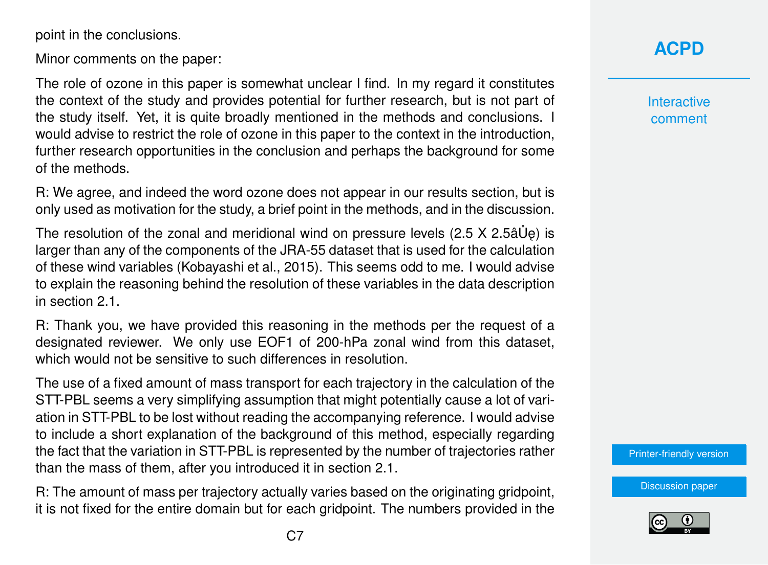point in the conclusions.

Minor comments on the paper:

The role of ozone in this paper is somewhat unclear I find. In my regard it constitutes the context of the study and provides potential for further research, but is not part of the study itself. Yet, it is quite broadly mentioned in the methods and conclusions. I would advise to restrict the role of ozone in this paper to the context in the introduction, further research opportunities in the conclusion and perhaps the background for some of the methods.

R: We agree, and indeed the word ozone does not appear in our results section, but is only used as motivation for the study, a brief point in the methods, and in the discussion.

The resolution of the zonal and meridional wind on pressure levels  $(2.5 \times 2.5$ â $\dot{\cup}$ e) is larger than any of the components of the JRA-55 dataset that is used for the calculation of these wind variables (Kobayashi et al., 2015). This seems odd to me. I would advise to explain the reasoning behind the resolution of these variables in the data description in section 2.1.

R: Thank you, we have provided this reasoning in the methods per the request of a designated reviewer. We only use EOF1 of 200-hPa zonal wind from this dataset, which would not be sensitive to such differences in resolution.

The use of a fixed amount of mass transport for each trajectory in the calculation of the STT-PBL seems a very simplifying assumption that might potentially cause a lot of variation in STT-PBL to be lost without reading the accompanying reference. I would advise to include a short explanation of the background of this method, especially regarding the fact that the variation in STT-PBL is represented by the number of trajectories rather than the mass of them, after you introduced it in section 2.1.

R: The amount of mass per trajectory actually varies based on the originating gridpoint, it is not fixed for the entire domain but for each gridpoint. The numbers provided in the **Interactive** comment

[Printer-friendly version](https://acp.copernicus.org/preprints/acp-2020-604/acp-2020-604-AC3-print.pdf)

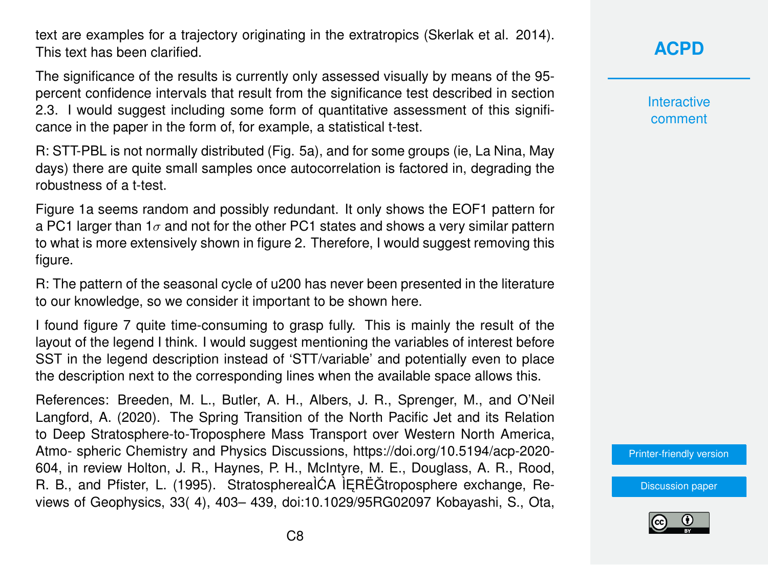text are examples for a trajectory originating in the extratropics (Skerlak et al. 2014). This text has been clarified.

The significance of the results is currently only assessed visually by means of the 95 percent confidence intervals that result from the significance test described in section 2.3. I would suggest including some form of quantitative assessment of this significance in the paper in the form of, for example, a statistical t-test.

R: STT-PBL is not normally distributed (Fig. 5a), and for some groups (ie, La Nina, May days) there are quite small samples once autocorrelation is factored in, degrading the robustness of a t-test.

Figure 1a seems random and possibly redundant. It only shows the EOF1 pattern for a PC1 larger than 1 $\sigma$  and not for the other PC1 states and shows a very similar pattern to what is more extensively shown in figure 2. Therefore, I would suggest removing this figure.

R: The pattern of the seasonal cycle of u200 has never been presented in the literature to our knowledge, so we consider it important to be shown here.

I found figure 7 quite time-consuming to grasp fully. This is mainly the result of the layout of the legend I think. I would suggest mentioning the variables of interest before SST in the legend description instead of 'STT/variable' and potentially even to place the description next to the corresponding lines when the available space allows this.

References: Breeden, M. L., Butler, A. H., Albers, J. R., Sprenger, M., and O'Neil Langford, A. (2020). The Spring Transition of the North Pacific Jet and its Relation to Deep Stratosphere-to-Troposphere Mass Transport over Western North America, Atmo- spheric Chemistry and Physics Discussions, https://doi.org/10.5194/acp-2020- 604, in review Holton, J. R., Haynes, P. H., McIntyre, M. E., Douglass, A. R., Rood, R. B., and Pfister, L. (1995). StratospherealCA lEREGtroposphere exchange, Reviews of Geophysics, 33( 4), 403– 439, doi:10.1029/95RG02097 Kobayashi, S., Ota, **[ACPD](https://acp.copernicus.org/preprints/)**

**Interactive** comment

[Printer-friendly version](https://acp.copernicus.org/preprints/acp-2020-604/acp-2020-604-AC3-print.pdf)